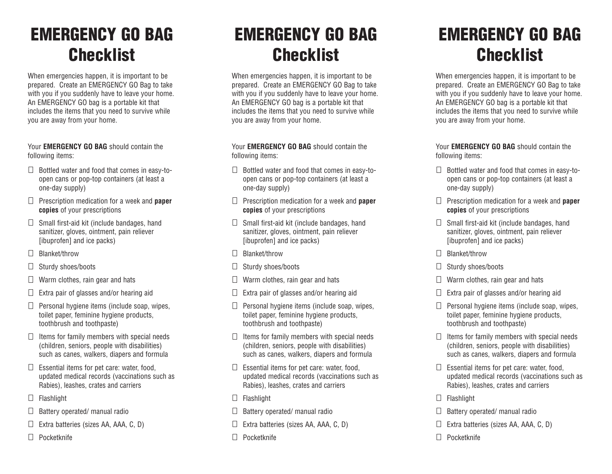## **EMERGENCY GO BAG Checklist**

When emergencies happen, it is important to be prepared. Create an EMERGENCY GO Bag to take with you if you suddenly have to leave your home. An EMERGENCY GO bag is a portable kit that includes the items that you need to survive while you are away from your home.

Your **EMERGENCY GO BAG** should contain the following items:

- $\Box$  Bottled water and food that comes in easy-toopen cans or pop-top containers (at least a one-day supply)
- Prescription medication for a week and **paper copies** of your prescriptions
- $\Box$  Small first-aid kit (include bandages, hand sanitizer, gloves, ointment, pain reliever [ibuprofen] and ice packs)
- Blanket/throw
- $\Box$  Sturdy shoes/boots
- $\Box$  Warm clothes, rain gear and hats
- $\Box$  Extra pair of glasses and/or hearing aid
- $\Box$  Personal hygiene items (include soap, wipes, toilet paper, feminine hygiene products, toothbrush and toothpaste)
- $\Box$ Items for family members with special needs (children, seniors, people with disabilities) such as canes, walkers, diapers and formula
- $\Box$  Essential items for pet care: water, food, updated medical records (vaccinations such as Rabies), leashes, crates and carriers
- □ Flashlight
- $\Box$  Battery operated/ manual radio
- Extra batteries (sizes AA, AAA, C, D)
- Pocketknife